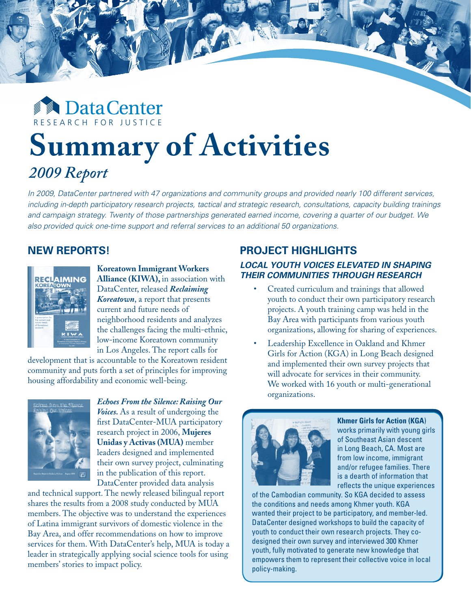# **DataCenter** R E S E A R C H F O R J U S T I C E **Summary of Activities**

R E S E A R C H F O R C E A R C E A R C E A R C E A R C E A R C E A R C E A R C E A

# *2009 Report*

In 2009, DataCenter partnered with 47 organizations and community groups and provided nearly 100 different services, *including in-depth participatory research projects, tactical and strategic research, consultations, capacity building trainings and campaign strategy. Twenty of those partnerships generated earned income, covering a quarter of our budget. We also provided quick one-time support and referral services to an additional 50 organizations.* 

DataCenter Annual Report 1994 - Contract 1994 - Constitution and Constitution and Constitution and Constitution and Constitution and Constitution and Constitution and Constitution and Constitution and Constitution and Cons

# **New Reports!**



**Koreatown Immigrant Workers Alliance (KIWA),** in association with DataCenter, released *Reclaiming Koreatown*, a report that presents current and future needs of neighborhood residents and analyzes the challenges facing the multi-ethnic, low-income Koreatown community in Los Angeles. The report calls for

development that is accountable to the Koreatown resident community and puts forth a set of principles for improving housing affordability and economic well-being.



*Echoes From the Silence: Raising Our Voices.* As a result of undergoing the first DataCenter-MUA participatory research project in 2006, **Mujeres Unidas y Activas (MUA)** member leaders designed and implemented their own survey project, culminating in the publication of this report. DataCenter provided data analysis

and technical support. The newly released bilingual report shares the results from a 2008 study conducted by MUA members. The objective was to understand the experiences of Latina immigrant survivors of domestic violence in the Bay Area, and offer recommendations on how to improve services for them. With DataCenter's help, MUA is today a leader in strategically applying social science tools for using members' stories to impact policy.

# **PROJECT HIGHLIGHTS**

## *Local youth voices elevated in shaping their communities through research*

- Created curriculum and trainings that allowed youth to conduct their own participatory research projects. A youth training camp was held in the Bay Area with participants from various youth organizations, allowing for sharing of experiences.
- Leadership Excellence in Oakland and Khmer Girls for Action (KGA) in Long Beach designed and implemented their own survey projects that will advocate for services in their community. We worked with 16 youth or multi-generational organizations.



**Khmer Girls for Action (KGA**) works primarily with young girls of Southeast Asian descent in Long Beach, CA. Most are from low income, immigrant and/or refugee families. There is a dearth of information that reflects the unique experiences

of the Cambodian community. So KGA decided to assess the conditions and needs among Khmer youth. KGA wanted their project to be participatory, and member-led. DataCenter designed workshops to build the capacity of youth to conduct their own research projects. They codesigned their own survey and interviewed 300 Khmer youth, fully motivated to generate new knowledge that empowers them to represent their collective voice in local policy-making.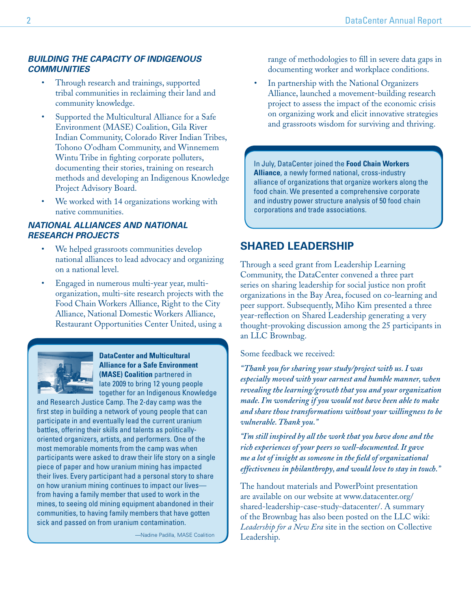## *Building the capacity of Indigenous communities*

- Through research and trainings, supported tribal communities in reclaiming their land and community knowledge.
- Supported the Multicultural Alliance for a Safe Environment (MASE) Coalition, Gila River Indian Community, Colorado River Indian Tribes, Tohono O'odham Community, and Winnemem Wintu Tribe in fighting corporate polluters, documenting their stories, training on research methods and developing an Indigenous Knowledge Project Advisory Board.
- We worked with 14 organizations working with native communities.

## *National Alliances and National Research projects*

- We helped grassroots communities develop national alliances to lead advocacy and organizing on a national level.
- Engaged in numerous multi-year year, multiorganization, multi-site research projects with the Food Chain Workers Alliance, Right to the City Alliance, National Domestic Workers Alliance, Restaurant Opportunities Center United, using a



**DataCenter and Multicultural Alliance for a Safe Environment (MASE) Coalition** partnered in late 2009 to bring 12 young people together for an Indigenous Knowledge

and Research Justice Camp. The 2-day camp was the first step in building a network of young people that can participate in and eventually lead the current uranium battles, offering their skills and talents as politicallyoriented organizers, artists, and performers. One of the most memorable moments from the camp was when participants were asked to draw their life story on a single piece of paper and how uranium mining has impacted their lives. Every participant had a personal story to share on how uranium mining continues to impact our lives from having a family member that used to work in the mines, to seeing old mining equipment abandoned in their communities, to having family members that have gotten sick and passed on from uranium contamination.

—Nadine Padilla, MASE Coalition

range of methodologies to fill in severe data gaps in documenting worker and workplace conditions.

In partnership with the National Organizers Alliance, launched a movement-building research project to assess the impact of the economic crisis on organizing work and elicit innovative strategies and grassroots wisdom for surviving and thriving.

In July, DataCenter joined the **Food Chain Workers Alliance**, a newly formed national, cross-industry alliance of organizations that organize workers along the food chain. We presented a comprehensive corporate and industry power structure analysis of 50 food chain corporations and trade associations.

# **Shared Leadership**

Through a seed grant from Leadership Learning Community, the DataCenter convened a three part series on sharing leadership for social justice non profit organizations in the Bay Area, focused on co-learning and peer support. Subsequently, Miho Kim presented a three year-reflection on Shared Leadership generating a very thought-provoking discussion among the 25 participants in an LLC Brownbag.

Some feedback we received:

*"Thank you for sharing your study/project with us. I was especially moved with your earnest and humble manner, when revealing the learning/growth that you and your organization made. I'm wondering if you would not have been able to make and share those transformations without your willingness to be vulnerable. Thank you."*

*"I'm still inspired by all the work that you have done and the rich experiences of your peers so well-documented. It gave me a lot of insight as someone in the field of organizational effectiveness in philanthropy, and would love to stay in touch."*

The handout materials and PowerPoint presentation are available on our website at www.datacenter.org/ shared-leadership-case-study-datacenter/. A summary of the Brownbag has also been posted on the LLC wiki: *Leadership for a New Era* site in the section on Collective Leadership.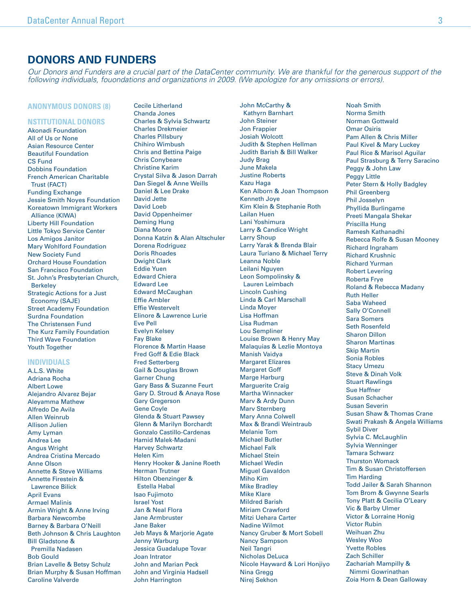# **Donors and Funders**

*Our Donors and Funders are a crucial part of the DataCenter community. We are thankful for the generous support of the following individuals, fouondations and organizations in 2009. (We apologize for any omissions or errors).*

#### **Anonymous donors (8)**

#### **nstitutional Donors**

Akonadi Foundation All of Us or None Asian Resource Center Beautiful Foundation CS Fund Dobbins Foundation French American Charitable Trust (FACT) Funding Exchange Jessie Smith Noyes Foundation Koreatown Immigrant Workers Alliance (KIWA) Liberty Hill Foundation Little Tokyo Service Center Los Amigos Janitor Mary Wohlford Foundation New Society Fund Orchard House Foundation San Francisco Foundation St. John's Presbyterian Church, Berkeley Strategic Actions for a Just Economy (SAJE) Street Academy Foundation Surdna Foundation The Christensen Fund The Kurz Family Foundation Third Wave Foundation Youth Together

#### **Individuals**

A.L.S. White Adriana Rocha Albert Lowe Alejandro Alvarez Bejar Aleyamma Mathew Alfredo De Avila Allen Weinrub Allison Julien Amy Lyman Andrea Lee Angus Wright Andrea Cristina Mercado Anne Olson Annette & Steve Williams Annette Firestein & Lawrence Bilick April Evans Armael Malinis Armin Wright & Anne Irving Barbara Newcombe Barney & Barbara O'Neill Beth Johnson & Chris Laughton Bill Gladstone & Premilla Nadasen Bob Gould Brian Lavelle & Betsy Schulz Brian Murphy & Susan Hoffman Caroline Valverde

Cecile Litherland Chanda Jones Charles & Sylvia Schwartz Charles Drekmeier Charles Pillsbury Chihiro Wimbush Chris and Bettina Paige Chris Conybeare Christine Karim Crystal Silva & Jason Darrah Dan Siegel & Anne Weills Daniel & Lee Drake David Jette David Loeb David Oppenheimer Deming Hung Diana Moore Donna Katzin & Alan Altschuler Dorena Rodriguez Doris Rhoades Dwight Clark Eddie Yuen Edward Chiera Edward Lee Edward McCaughan Effie Ambler Effie Westervelt Elinore & Lawrence Lurie Eve Pell Evelyn Kelsey Fay Blake Florence & Martin Haase Fred Goff & Edie Black Fred Setterberg Gail & Douglas Brown Garner Chung Gary Bass & Suzanne Feurt Gary D. Stroud & Anaya Rose Gary Gregerson Gene Coyle Glenda & Stuart Pawsey Glenn & Marilyn Borchardt Gonzalo Castillo-Cardenas Hamid Malek-Madani Harvey Schwartz Helen Kim Henry Hooker & Janine Roeth Herman Trutner Hilton Obenzinger & Estella Habal Isao Fujimoto Israel Yost Jan & Neal Flora Jane Armbruster Jane Baker Jeb Mays & Marjorie Agate Jenny Warburg Jessica Guadalupe Tovar Joan Intrator John and Marian Peck John and Virginia Hadsell John Harrington

John McCarthy & Kathyrn Barnhart John Steiner Jon Frappier Josiah Wolcott Judith & Stephen Hellman Judith Barish & Bill Walker Judy Brag June Makela Justine Roberts Kazu Haga Ken Alborn & Joan Thompson Kenneth Joye Kim Klein & Stephanie Roth Lailan Huen Lani Yoshimura Larry & Candice Wright Larry Shoup Larry Yarak & Brenda Blair Laura Turiano & Michael Terry Leanna Noble Leilani Nguyen Leon Sompolinsky & Lauren Leimbach Lincoln Cushing Linda & Carl Marschall Linda Moyer Lisa Hoffman Lisa Rudman Lou Sempliner Louise Brown & Henry May Malaquias & Lezlie Montoya Manish Vaidya Margaret Elizares Margaret Goff Marge Harburg Marguerite Craig Martha Winnacker Marv & Ardy Dunn Marv Sternberg Mary Anna Colwell Max & Brandi Weintraub Melanie Tom Michael Butler Michael Falk Michael Stein Michael Wedin Miguel Gavaldon Miho Kim Mike Bradley Mike Klare Mildred Barish Miriam Crawford Mitzi Uehara Carter Nadine Wilmot Nancy Gruber & Mort Sobell Nancy Sampson Neil Tangri Nicholas DeLuca Nicole Hayward & Lori Honjiyo Nina Gregg Nirej Sekhon

Noah Smith Norma Smith Norman Gottwald Omar Osiris Pam Allen & Chris Miller Paul Kivel & Mary Luckey Paul Rice & Marisol Aguilar Paul Strasburg & Terry Saracino Peggy & John Law Peggy Little Peter Stern & Holly Badgley Phil Greenberg Phil Josselyn Phyllida Burlingame Preeti Mangala Shekar Priscilla Hung Ramesh Kathanadhi Rebecca Rolfe & Susan Mooney Richard Ingraham Richard Krushnic Richard Yurman Robert Levering Roberta Frye Roland & Rebecca Madany Ruth Heller Saba Waheed Sally O'Connell Sara Somers Seth Rosenfeld Sharon Dillon Sharon Martinas Skip Martin Sonia Robles Stacy Umezu Steve & Dinah Volk Stuart Rawlings Sue Haffner Susan Schacher Susan Severin Susan Shaw & Thomas Crane Swati Prakash & Angela Williams Sybil Diver Sylvia C. McLaughlin Sylvia Wenninger Tamara Schwarz Thurston Womack Tim & Susan Christoffersen Tim Harding Todd Jailer & Sarah Shannon Tom Brom & Gwynne Searls Tony Platt & Cecilia O'Leary Vic & Barby Ulmer Victor & Lorraine Honig Victor Rubin Weihuan Zhu Wesley Woo Yvette Robles Zach Schiller Zachariah Mampilly & Nimmi Gowrinathan Zoia Horn & Dean Galloway